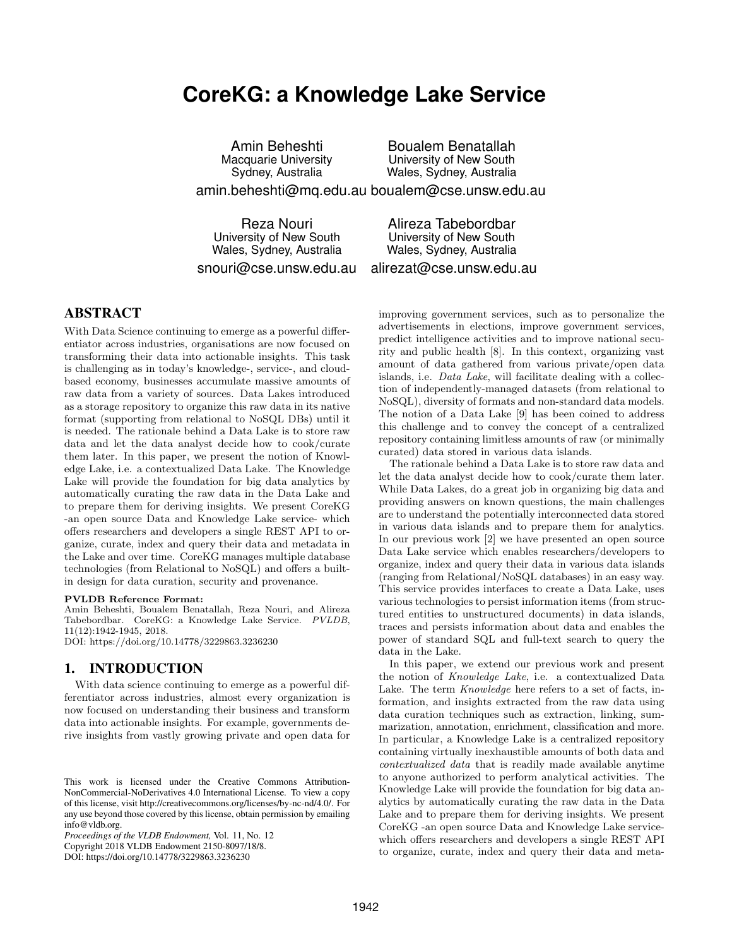# **CoreKG: a Knowledge Lake Service**

Amin Beheshti Macquarie University Sydney, Australia amin.beheshti@mq.edu.au boualem@cse.unsw.edu.au Boualem Benatallah University of New South Wales, Sydney, Australia

Reza Nouri University of New South Wales, Sydney, Australia

University of New South Wales, Sydney, Australia

snouri@cse.unsw.edu.au

alirezat@cse.unsw.edu.au

Alireza Tabebordbar

# ABSTRACT

With Data Science continuing to emerge as a powerful differentiator across industries, organisations are now focused on transforming their data into actionable insights. This task is challenging as in today's knowledge-, service-, and cloudbased economy, businesses accumulate massive amounts of raw data from a variety of sources. Data Lakes introduced as a storage repository to organize this raw data in its native format (supporting from relational to NoSQL DBs) until it is needed. The rationale behind a Data Lake is to store raw data and let the data analyst decide how to cook/curate them later. In this paper, we present the notion of Knowledge Lake, i.e. a contextualized Data Lake. The Knowledge Lake will provide the foundation for big data analytics by automatically curating the raw data in the Data Lake and to prepare them for deriving insights. We present CoreKG -an open source Data and Knowledge Lake service- which offers researchers and developers a single REST API to organize, curate, index and query their data and metadata in the Lake and over time. CoreKG manages multiple database technologies (from Relational to NoSQL) and offers a builtin design for data curation, security and provenance.

#### PVLDB Reference Format:

Amin Beheshti, Boualem Benatallah, Reza Nouri, and Alireza Tabebordbar. CoreKG: a Knowledge Lake Service. PVLDB, 11(12):1942-1945, 2018.

DOI: https://doi.org/10.14778/3229863.3236230

## 1. INTRODUCTION

With data science continuing to emerge as a powerful differentiator across industries, almost every organization is now focused on understanding their business and transform data into actionable insights. For example, governments derive insights from vastly growing private and open data for

*Proceedings of the VLDB Endowment,* Vol. 11, No. 12 Copyright 2018 VLDB Endowment 2150-8097/18/8. DOI: https://doi.org/10.14778/3229863.3236230

improving government services, such as to personalize the advertisements in elections, improve government services, predict intelligence activities and to improve national security and public health [8]. In this context, organizing vast amount of data gathered from various private/open data islands, i.e. Data Lake, will facilitate dealing with a collection of independently-managed datasets (from relational to NoSQL), diversity of formats and non-standard data models. The notion of a Data Lake [9] has been coined to address this challenge and to convey the concept of a centralized repository containing limitless amounts of raw (or minimally curated) data stored in various data islands.

The rationale behind a Data Lake is to store raw data and let the data analyst decide how to cook/curate them later. While Data Lakes, do a great job in organizing big data and providing answers on known questions, the main challenges are to understand the potentially interconnected data stored in various data islands and to prepare them for analytics. In our previous work [2] we have presented an open source Data Lake service which enables researchers/developers to organize, index and query their data in various data islands (ranging from Relational/NoSQL databases) in an easy way. This service provides interfaces to create a Data Lake, uses various technologies to persist information items (from structured entities to unstructured documents) in data islands, traces and persists information about data and enables the power of standard SQL and full-text search to query the data in the Lake.

In this paper, we extend our previous work and present the notion of Knowledge Lake, i.e. a contextualized Data Lake. The term Knowledge here refers to a set of facts, information, and insights extracted from the raw data using data curation techniques such as extraction, linking, summarization, annotation, enrichment, classification and more. In particular, a Knowledge Lake is a centralized repository containing virtually inexhaustible amounts of both data and contextualized data that is readily made available anytime to anyone authorized to perform analytical activities. The Knowledge Lake will provide the foundation for big data analytics by automatically curating the raw data in the Data Lake and to prepare them for deriving insights. We present CoreKG -an open source Data and Knowledge Lake servicewhich offers researchers and developers a single REST API to organize, curate, index and query their data and meta-

This work is licensed under the Creative Commons Attribution-NonCommercial-NoDerivatives 4.0 International License. To view a copy of this license, visit http://creativecommons.org/licenses/by-nc-nd/4.0/. For any use beyond those covered by this license, obtain permission by emailing info@vldb.org.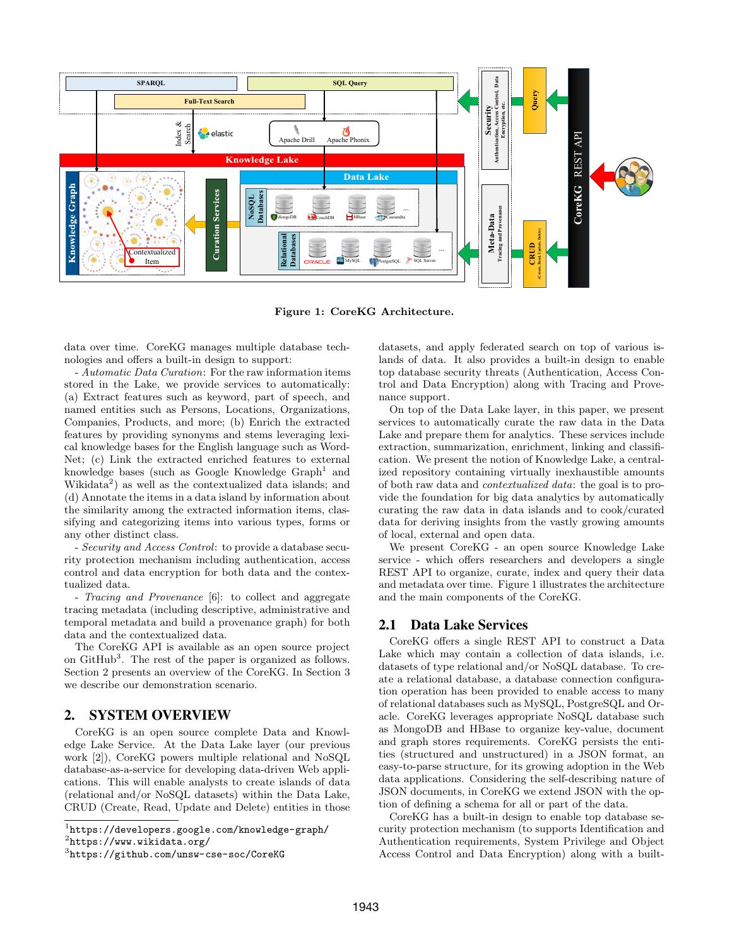

Figure 1: CoreKG Architecture.

data over time. CoreKG manages multiple database technologies and offers a built-in design to support:

- Automatic Data Curation: For the raw information items stored in the Lake, we provide services to automatically: (a) Extract features such as keyword, part of speech, and named entities such as Persons, Locations, Organizations, Companies, Products, and more; (b) Enrich the extracted features by providing synonyms and stems leveraging lexical knowledge bases for the English language such as Word-Net; (c) Link the extracted enriched features to external knowledge bases (such as Google Knowledge  $Graph<sup>1</sup>$  and Wikidata<sup>2</sup>) as well as the contextualized data islands; and (d) Annotate the items in a data island by information about the similarity among the extracted information items, classifying and categorizing items into various types, forms or any other distinct class.

- Security and Access Control: to provide a database security protection mechanism including authentication, access control and data encryption for both data and the contextualized data.

- Tracing and Provenance [6]: to collect and aggregate tracing metadata (including descriptive, administrative and temporal metadata and build a provenance graph) for both data and the contextualized data.

The CoreKG API is available as an open source project on GitHub<sup>3</sup>. The rest of the paper is organized as follows. Section 2 presents an overview of the CoreKG. In Section 3 we describe our demonstration scenario.

#### 2. SYSTEM OVERVIEW

CoreKG is an open source complete Data and Knowledge Lake Service. At the Data Lake layer (our previous work [2]), CoreKG powers multiple relational and NoSQL database-as-a-service for developing data-driven Web applications. This will enable analysts to create islands of data (relational and/or NoSQL datasets) within the Data Lake, CRUD (Create, Read, Update and Delete) entities in those datasets, and apply federated search on top of various islands of data. It also provides a built-in design to enable top database security threats (Authentication, Access Control and Data Encryption) along with Tracing and Provenance support.

On top of the Data Lake layer, in this paper, we present services to automatically curate the raw data in the Data Lake and prepare them for analytics. These services include extraction, summarization, enrichment, linking and classification. We present the notion of Knowledge Lake, a centralized repository containing virtually inexhaustible amounts of both raw data and contextualized data: the goal is to provide the foundation for big data analytics by automatically curating the raw data in data islands and to cook/curated data for deriving insights from the vastly growing amounts of local, external and open data.

We present CoreKG - an open source Knowledge Lake service - which offers researchers and developers a single REST API to organize, curate, index and query their data and metadata over time. Figure 1 illustrates the architecture and the main components of the CoreKG.

# 2.1 Data Lake Services

CoreKG offers a single REST API to construct a Data Lake which may contain a collection of data islands, i.e. datasets of type relational and/or NoSQL database. To create a relational database, a database connection configuration operation has been provided to enable access to many of relational databases such as MySQL, PostgreSQL and Oracle. CoreKG leverages appropriate NoSQL database such as MongoDB and HBase to organize key-value, document and graph stores requirements. CoreKG persists the entities (structured and unstructured) in a JSON format, an easy-to-parse structure, for its growing adoption in the Web data applications. Considering the self-describing nature of JSON documents, in CoreKG we extend JSON with the option of defining a schema for all or part of the data.

CoreKG has a built-in design to enable top database security protection mechanism (to supports Identification and Authentication requirements, System Privilege and Object Access Control and Data Encryption) along with a built-

<sup>1</sup> https://developers.google.com/knowledge-graph/

<sup>2</sup> https://www.wikidata.org/

<sup>3</sup> https://github.com/unsw-cse-soc/CoreKG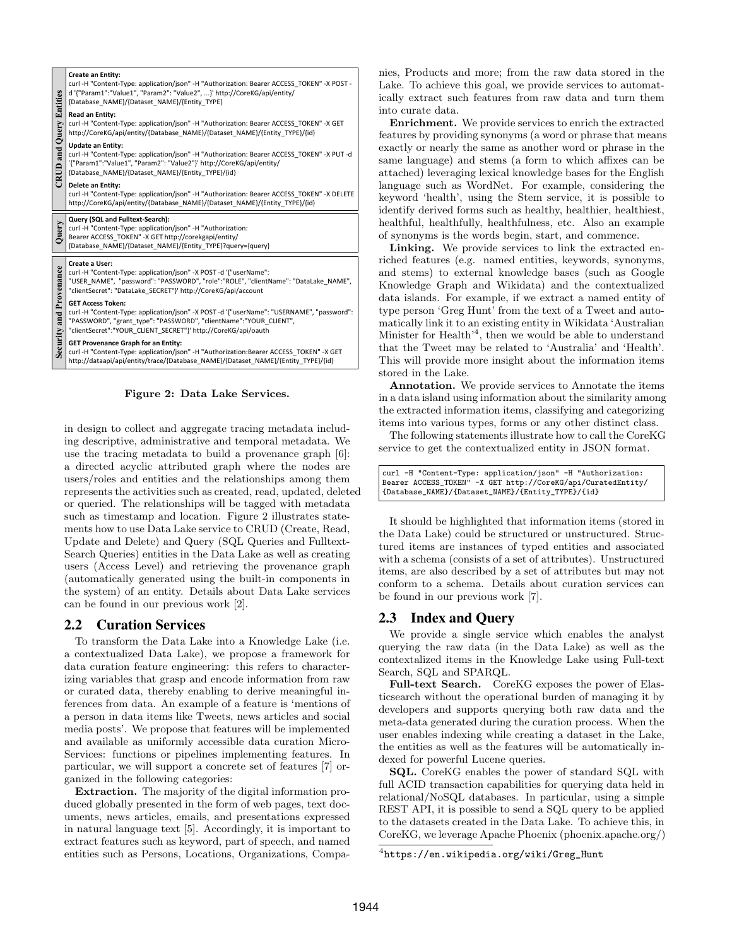| <b>CRUD and Query Entities</b> | Create an Entity:<br>curl -H "Content-Type: application/json" -H "Authorization: Bearer ACCESS TOKEN" -X POST -<br>d '{"Param1":"Value1", "Param2": "Value2", }' http://CoreKG/api/entity/<br>{Database NAME}/{Dataset NAME}/{Entity TYPE}                  |
|--------------------------------|-------------------------------------------------------------------------------------------------------------------------------------------------------------------------------------------------------------------------------------------------------------|
|                                | <b>Read an Entity:</b><br>curl -H "Content-Type: application/json" -H "Authorization: Bearer ACCESS TOKEN" -X GET<br>http://CoreKG/api/entity/{Database NAME}/{Dataset NAME}/{Entity TYPE}/{id}                                                             |
|                                | <b>Update an Entity:</b><br>curl -H "Content-Type: application/json" -H "Authorization: Bearer ACCESS TOKEN" -X PUT -d<br>'{"Param1":"Value1", "Param2": "Value2"}' http://CoreKG/api/entity/<br>{Database NAME}/{Dataset NAME}/{Entity TYPE}/{id}          |
|                                | Delete an Entity:<br>curl -H "Content-Type: application/json" -H "Authorization: Bearer ACCESS TOKEN" -X DELETE<br>http://CoreKG/api/entity/{Database NAME}/{Dataset NAME}/{Entity TYPE}/{id}                                                               |
| Query                          | Query (SQL and Fulltext-Search):<br>curl-H "Content-Type: application/json" -H "Authorization:<br>Bearer ACCESS TOKEN" - X GET http://corekgapi/entity/<br>{Database NAME}/{Dataset NAME}/{Entity TYPE}?query={query}                                       |
| Security and Provenance        | Create a User:<br>curl -H "Content-Type: application/json" -X POST -d '{"userName":<br>"USER NAME", "password": "PASSWORD", "role":"ROLE", "clientName": "DataLake NAME",<br>"clientSecret": "DataLake SECRET"}' http://CoreKG/api/account                  |
|                                | <b>GET Access Token:</b><br>curl -H "Content-Type: application/json" -X POST -d '{"userName": "USERNAME", "password":<br>"PASSWORD", "grant_type": "PASSWORD", "clientName":"YOUR_CLIENT",<br>"clientSecret":"YOUR CLIENT SECRET"}' http://CoreKG/api/oauth |
|                                | GET Provenance Graph for an Entity:<br>curl -H "Content-Type: application/json" -H "Authorization:Bearer ACCESS TOKEN" -X GET<br>http://dataapi/api/entity/trace/{Database NAME}/{Dataset NAME}/{Entity TYPE}/{id}                                          |

Figure 2: Data Lake Services.

in design to collect and aggregate tracing metadata including descriptive, administrative and temporal metadata. We use the tracing metadata to build a provenance graph [6]: a directed acyclic attributed graph where the nodes are users/roles and entities and the relationships among them represents the activities such as created, read, updated, deleted or queried. The relationships will be tagged with metadata such as timestamp and location. Figure 2 illustrates statements how to use Data Lake service to CRUD (Create, Read, Update and Delete) and Query (SQL Queries and Fulltext-Search Queries) entities in the Data Lake as well as creating users (Access Level) and retrieving the provenance graph (automatically generated using the built-in components in the system) of an entity. Details about Data Lake services can be found in our previous work [2].

# 2.2 Curation Services

To transform the Data Lake into a Knowledge Lake (i.e. a contextualized Data Lake), we propose a framework for data curation feature engineering: this refers to characterizing variables that grasp and encode information from raw or curated data, thereby enabling to derive meaningful inferences from data. An example of a feature is 'mentions of a person in data items like Tweets, news articles and social media posts'. We propose that features will be implemented and available as uniformly accessible data curation Micro-Services: functions or pipelines implementing features. In particular, we will support a concrete set of features [7] organized in the following categories:

Extraction. The majority of the digital information produced globally presented in the form of web pages, text documents, news articles, emails, and presentations expressed in natural language text [5]. Accordingly, it is important to extract features such as keyword, part of speech, and named entities such as Persons, Locations, Organizations, Companies, Products and more; from the raw data stored in the Lake. To achieve this goal, we provide services to automatcally extract such features from raw data and turn them into curate data.

Enrichment. We provide services to enrich the extracted features by providing synonyms (a word or phrase that means exactly or nearly the same as another word or phrase in the same language) and stems (a form to which affixes can be attached) leveraging lexical knowledge bases for the English language such as WordNet. For example, considering the keyword 'health', using the Stem service, it is possible to dentify derived forms such as healthy, healthier, healthiest, healthful, healthfully, healthfulness, etc. Also an example of synonyms is the words begin, start, and commence.

Linking. We provide services to link the extracted enriched features (e.g. named entities, keywords, synonyms, and stems) to external knowledge bases (such as Google Knowledge Graph and Wikidata) and the contextualized data islands. For example, if we extract a named entity of type person 'Greg Hunt' from the text of a Tweet and automatically link it to an existing entity in Wikidata 'Australian Minister for Health<sup>'4</sup>, then we would be able to understand that the Tweet may be related to 'Australia' and 'Health'. This will provide more insight about the information items stored in the Lake.

Annotation. We provide services to Annotate the items in a data island using information about the similarity among the extracted information items, classifying and categorizing items into various types, forms or any other distinct class.

The following statements illustrate how to call the CoreKG service to get the contextualized entity in JSON format.

| curl -H "Content-Type: application/json" -H "Authorization:  |
|--------------------------------------------------------------|
| Bearer ACCESS_TOKEN" -X GET http://CoreKG/api/CuratedEntity/ |
| {Database_NAME}/{Dataset_NAME}/{Entity_TYPE}/{id}            |

It should be highlighted that information items (stored in the Data Lake) could be structured or unstructured. Structured items are instances of typed entities and associated with a schema (consists of a set of attributes). Unstructured items, are also described by a set of attributes but may not conform to a schema. Details about curation services can be found in our previous work [7].

# 2.3 Index and Query

We provide a single service which enables the analyst querying the raw data (in the Data Lake) as well as the contextalized items in the Knowledge Lake using Full-text Search, SQL and SPARQL.

Full-text Search. CoreKG exposes the power of Elasticsearch without the operational burden of managing it by developers and supports querying both raw data and the meta-data generated during the curation process. When the user enables indexing while creating a dataset in the Lake, the entities as well as the features will be automatically indexed for powerful Lucene queries.

SQL. CoreKG enables the power of standard SQL with full ACID transaction capabilities for querying data held in relational/NoSQL databases. In particular, using a simple REST API, it is possible to send a SQL query to be applied to the datasets created in the Data Lake. To achieve this, in CoreKG, we leverage Apache Phoenix (phoenix.apache.org/)

 $^4$ https://en.wikipedia.org/wiki/Greg\_Hunt